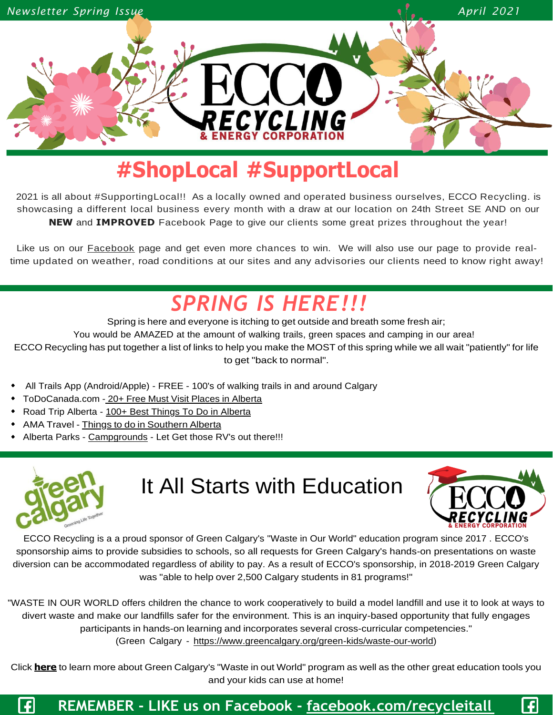

## **#ShopLocal #SupportLocal**

2021 is all about #SupportingLocal!! As a locally owned and operated business ourselves, ECCO Recycling. is showcasing a different local business every month with a draw at our location on 24th Street SE AND on our **NEW** and **IMPROVED** Facebook Page to give our clients some great prizes throughout the year!

Like us on our **[Facebook](https://www.facebook.com/recycleitall)** page and get even more chances to win. We will also use our page to provide realtime updated on weather, road conditions at our sites and any advisories our clients need to know right away!

## *SPRING IS HERE!!!*

Spring is here and everyone is itching to get outside and breath some fresh air; You would be AMAZED at the amount of walking trails, green spaces and camping in our area! ECCO Recycling has put together a list of links to help you make the MOST of this spring while we all wait "patiently" for life to get "back to normal".

- All Trails App (Android/Apple) FREE 100's of walking trails in and around Calgary
- ToDoCanada.com 20+ Free Must Visit Places in [Alberta](https://www.todocanada.ca/free-things-alberta/)
- Road Trip Alberta [100+ Best Things To Do in Alberta](https://roadtripalberta.com/best-things-to-do-in-alberta/)
- AMA Travel Things to do in [Southern](https://www.amatravel.ca/articles/quick-trips-southern-alberta) Alberta
- Alberta Parks [Campgrounds](https://www.albertaparks.ca/albertaparksca/visit-our-parks/find-a-park/) Let Get those RV's out there!!!



## It All Starts with Education



 $\vert f \vert$ 

ECCO Recycling is a a proud sponsor of Green Calgary's "Waste in Our World" education program since 2017 . ECCO's sponsorship aims to provide subsidies to schools, so all requests for Green Calgary's hands-on presentations on waste diversion can be accommodated regardless of ability to pay. As a result of ECCO's sponsorship, in 2018-2019 Green Calgary was "able to help over 2,500 Calgary students in 81 programs!"

"WASTE IN OUR WORLD offers children the chance to work cooperatively to build a model landfill and use it to look at ways to divert waste and make our landfills safer for the environment. This is an inquiry-based opportunity that fully engages participants in hands-on learning and incorporates several cross-curricular competencies." (Green Calgary - [https://www.greencalgary.org/green-kids/waste-our-world\)](https://www.greencalgary.org/green-kids/waste-our-world)

Click **[here](https://www.greencalgary.org/green-kids/waste-our-world)**to learn more about Green Calgary's "Waste in out World" program as well as the other great education tools you and your kids can use at home!